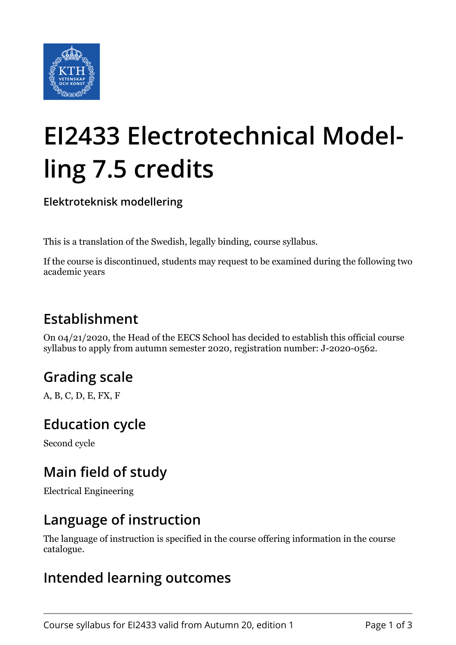

# **EI2433 Electrotechnical Modelling 7.5 credits**

**Elektroteknisk modellering**

This is a translation of the Swedish, legally binding, course syllabus.

If the course is discontinued, students may request to be examined during the following two academic years

## **Establishment**

On 04/21/2020, the Head of the EECS School has decided to establish this official course syllabus to apply from autumn semester 2020, registration number: J-2020-0562.

## **Grading scale**

A, B, C, D, E, FX, F

#### **Education cycle**

Second cycle

## **Main field of study**

Electrical Engineering

#### **Language of instruction**

The language of instruction is specified in the course offering information in the course catalogue.

#### **Intended learning outcomes**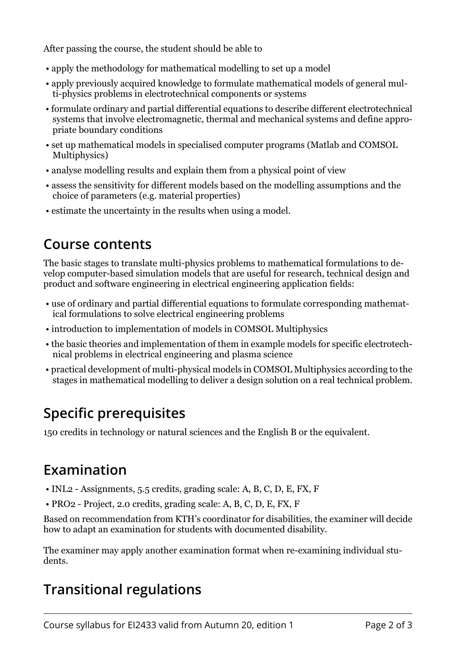After passing the course, the student should be able to

- apply the methodology for mathematical modelling to set up a model
- apply previously acquired knowledge to formulate mathematical models of general multi-physics problems in electrotechnical components or systems
- formulate ordinary and partial differential equations to describe different electrotechnical systems that involve electromagnetic, thermal and mechanical systems and define appropriate boundary conditions
- set up mathematical models in specialised computer programs (Matlab and COMSOL Multiphysics)
- analyse modelling results and explain them from a physical point of view
- assess the sensitivity for different models based on the modelling assumptions and the choice of parameters (e.g. material properties)
- estimate the uncertainty in the results when using a model.

#### **Course contents**

The basic stages to translate multi-physics problems to mathematical formulations to develop computer-based simulation models that are useful for research, technical design and product and software engineering in electrical engineering application fields:

- use of ordinary and partial differential equations to formulate corresponding mathematical formulations to solve electrical engineering problems
- introduction to implementation of models in COMSOL Multiphysics
- the basic theories and implementation of them in example models for specific electrotechnical problems in electrical engineering and plasma science
- practical development of multi-physical models in COMSOL Multiphysics according to the stages in mathematical modelling to deliver a design solution on a real technical problem.

# **Specific prerequisites**

150 credits in technology or natural sciences and the English B or the equivalent.

## **Examination**

- INL2 Assignments, 5.5 credits, grading scale: A, B, C, D, E, FX, F
- PRO2 Project, 2.0 credits, grading scale: A, B, C, D, E, FX, F

Based on recommendation from KTH's coordinator for disabilities, the examiner will decide how to adapt an examination for students with documented disability.

The examiner may apply another examination format when re-examining individual students.

# **Transitional regulations**